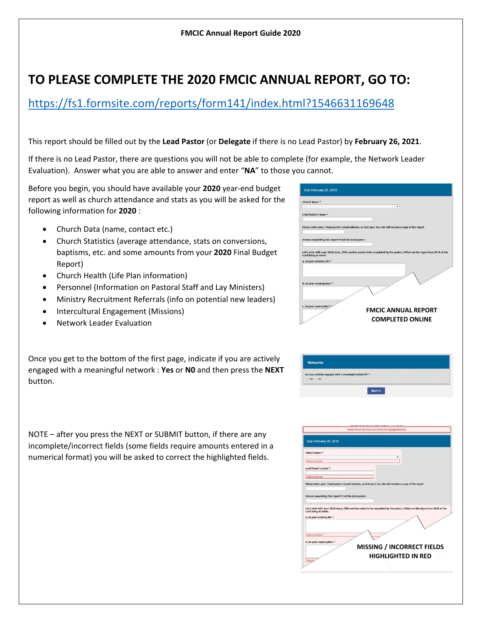## **TO PLEASE COMPLETE THE 2020 FMCIC ANNUAL REPORT, GO TO:**

https://fs1.formsite.com/reports/form141/index.html?1546631169648

This report should be filled out by the **Lead Pastor** (or **Delegate** if there is no Lead Pastor) by **February 26, 2021**.

If there is no Lead Pastor, there are questions you will not be able to complete (for example, the Network Leader Evaluation). Answer what you are able to answer and enter "**NA**" to those you cannot.

Before you begin, you should have available your **2020** year‐end budget report as well as church attendance and stats as you will be asked for the following information for **2020** :

- Church Data (name, contact etc.)
- Church Statistics (average attendance, stats on conversions, baptisms, etc. and some amounts from your **2020** Final Budget Report)
- Church Health (Life Plan information)
- Personnel (Information on Pastoral Staff and Lay Ministers)
- Ministry Recruitment Referrals (info on potential new leaders)
- Intercultural Engagement (Missions)
- Network Leader Evaluation

Once you get to the bottom of the first page, indicate if you are actively engaged with a meaningful network : **Yes** or **N0** and then press the **NEXT** button.

NOTE – after you press the NEXT or SUBMIT button, if there are any incomplete/incorrect fields (some fields require amounts entered in a numerical format) you will be asked to correct the highlighted fields.

| Church Name *                                          | $\pmb{\mathsf{v}}$                                                                                                                               |
|--------------------------------------------------------|--------------------------------------------------------------------------------------------------------------------------------------------------|
| Lead Pastor's name *                                   |                                                                                                                                                  |
|                                                        |                                                                                                                                                  |
|                                                        | Please enter your / lead pastor's email address, so that you/ he/ she will receive a copy of the report                                          |
|                                                        |                                                                                                                                                  |
| Person completing this report if not the lead pastor : |                                                                                                                                                  |
|                                                        |                                                                                                                                                  |
|                                                        | Let's start with your 2018 story. (This section needs to be completed by the pastor.) What are the signs from 2018 of the Lord being at work:    |
| a. In your ministry life *                             |                                                                                                                                                  |
|                                                        |                                                                                                                                                  |
|                                                        |                                                                                                                                                  |
| b. In your congregation *                              |                                                                                                                                                  |
|                                                        |                                                                                                                                                  |
|                                                        |                                                                                                                                                  |
| c. In your community? *                                | <b>FMCIC ANNUAL REPORT</b>                                                                                                                       |
|                                                        |                                                                                                                                                  |
|                                                        | <b>COMPLETED ONLINE</b>                                                                                                                          |
|                                                        |                                                                                                                                                  |
|                                                        |                                                                                                                                                  |
| Are you actively engaged with a meaningful network? *  |                                                                                                                                                  |
| Yes No.                                                |                                                                                                                                                  |
|                                                        | Next                                                                                                                                             |
|                                                        |                                                                                                                                                  |
|                                                        |                                                                                                                                                  |
|                                                        |                                                                                                                                                  |
|                                                        |                                                                                                                                                  |
|                                                        | Please review the form and correct the highlighted items.                                                                                        |
|                                                        |                                                                                                                                                  |
| Due February 20, 2019                                  |                                                                                                                                                  |
| Church Name *                                          |                                                                                                                                                  |
|                                                        |                                                                                                                                                  |
| <b>Response required</b>                               |                                                                                                                                                  |
| Lead Pastor's name *                                   |                                                                                                                                                  |
| Response required                                      |                                                                                                                                                  |
|                                                        | Please enter your / lead pastor's email address, so that you/ he/ she will receive a copy of the report                                          |
| Person completing this report if not the lead pastor : |                                                                                                                                                  |
|                                                        |                                                                                                                                                  |
|                                                        | Let's start with your 2018 story. (This section needs to be completed by the pastor.) What are the signs from 2018 of the<br>Lord being at work: |
| a. In your ministry life *                             |                                                                                                                                                  |
|                                                        |                                                                                                                                                  |
| Response required                                      |                                                                                                                                                  |
| b. In your congregation *                              |                                                                                                                                                  |
|                                                        | <b>MISSING / INCORRECT FIELDS</b>                                                                                                                |
|                                                        | HIGHLIGHTED IN RED                                                                                                                               |